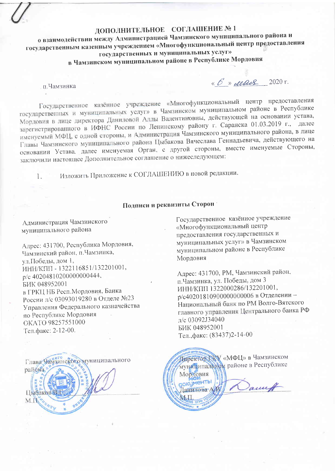## ДОПОЛНИТЕЛЬНОЕ СОГЛАШЕНИЕ №1

о взаимодействии между Администрацией Чамзинского муниципального района и государственным казенным учреждением «Многофункциональный центр предоставления государственных и муниципальных услуг» в Чамзинском муниципальном районе в Республике Мордовия

п. Чамзинка

 $\kappa$  6 m deads 2020 r.

Государственное казённое учреждение «Многофункциональный центр предоставления государственных и муниципальных услуг» в Чамзинском муниципальном районе в Республике Мордовия в лице директора Даниловой Аллы Валентиновны, действующей на основании устава, зарегистрированного в ИФНС России по Ленинскому району г. Саранска 01.03.2019 г., далее именуемый МФЦ, с одной стороны, и Администрация Чамзинского муниципального района, в лице Главы Чамзинского муниципального района Цыбакова Вячеслава Геннадьевича, действующего на основании Устава, далее именуемая Орган, с другой стороны, вместе именуемые Стороны, заключили настоящее Дополнительное соглашение о нижеследующем:

Изложить Приложение к СОГЛАШЕНИЮ в новой редакции.  $1<sub>1</sub>$ 

## Подписи и реквизиты Сторон

Администрация Чамзинского муниципального района

Адрес: 431700, Республика Мордовия, Чамзинский район, п. Чамзинка, ул.Победы, дом 1, ИНН/КПП - 1322116851/132201001, p/c 40204810200000000444, БИК 048952001 в ГРКЦ НБ Респ. Мордовия, Банка России л/с 03093019280 в Отделе №23 Управления Федерального казначейства по Республике Мордовия OKATO 98257551000 Тел.факс: 2-12-00.



Государственное казённое учреждение «Многофункциональный центр предоставления государственных и муниципальных услуг» в Чамзинском муниципальном районе в Республике Мордовия

Адрес: 431700, РМ, Чамзинский район, п. Чамзинка, ул. Победы, дом 3 ИНН/КПП 1322000286/132201001, р/с40201810900000000006 в Отделении-Национальный банк по РМ Волго-Вятского главного управления Центрального банка РФ л/с 03092J34040 БИК 048952001 Тел., факс: (83437)2-14-00

Директор ХАУ «МФЦ» в Чамзинском муниципальном районе в Республике Мордовия **RIOM**<br>GOKUMEHTb Januf Данилова А MI.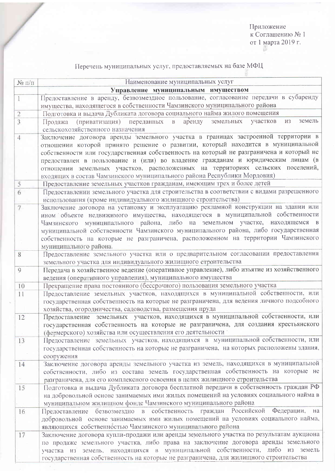Перечень муниципальных услуг, предоставляемых на базе МФЦ

| $N$ о п/п                                 | Наименование муниципальных услуг                                                                                                                                              |
|-------------------------------------------|-------------------------------------------------------------------------------------------------------------------------------------------------------------------------------|
|                                           | Управление муниципальным имуществом                                                                                                                                           |
|                                           | Предоставление в аренду, безвозмездное пользование, согласование передачи в субаренду                                                                                         |
|                                           | имущества, находящегося в собственности Чамзинского муниципального района                                                                                                     |
| $\overline{c}$                            | Подготовка и выдача Дубликата договора социального найма жилого помещения                                                                                                     |
| 3                                         | земель<br>(приватизация) переданных в аренду<br>земельных<br>участков<br>И3<br>Продажа<br>сельскохозяйственного назначения                                                    |
| 4                                         | Заключение договора аренды земельного участка в границах застроенной территории в                                                                                             |
|                                           | отношении которой принято решение о развитии, который находится в муниципальной                                                                                               |
|                                           | собственности или государственная собственность на который не разграничена и который не                                                                                       |
|                                           | предоставлен в пользование и (или) во владение гражданам и юридическим лицам (в                                                                                               |
|                                           | отношении земельных участков, расположенных на территориях сельских поселений,                                                                                                |
|                                           | входящих в состав Чамзинского муниципального района Республики Мордовия)                                                                                                      |
| 5                                         | Предоставление земельных участков гражданам, имеющим трех и более детей                                                                                                       |
| 6                                         | Предоставлении земельного участка для строительства в соответствии с видами разрешенного                                                                                      |
|                                           | использования (кроме индивидуального жилищного строительства)                                                                                                                 |
| $7\phantom{.}$                            | Заключение договора на установку и эксплуатацию рекламной конструкции на здании или                                                                                           |
|                                           | ином объекте недвижимого имущества, находящегося в муниципальной собственности                                                                                                |
|                                           | Чамзинского муниципального района, либо на земельном участке, находящемся в<br>муниципальной собственности Чамзинского муниципального района, либо государственная            |
|                                           | собственность на которые не разграничена, расположенном на территории Чамзинского                                                                                             |
|                                           | муниципального района.                                                                                                                                                        |
| 8                                         | Предоставление земельного участка или о предварительном согласовании предоставления                                                                                           |
|                                           | земельного участка для индивидуального жилищного строительства                                                                                                                |
| 9                                         | Передача в хозяйственное ведение (оперативное управление), либо изъятие из хозяйственного                                                                                     |
|                                           | ведения (оперативного управления), муниципального имущества                                                                                                                   |
| 10                                        | Прекращение права постоянного (бессрочного) пользования земельного участка                                                                                                    |
| 11                                        | Предоставление земельных участков, находящихся в муниципальной собственности, или                                                                                             |
|                                           | государственная собственность на которые не разграничена, для ведения личного подсобного                                                                                      |
|                                           | хозяйства, огородничества, садоводства, размещения пруда                                                                                                                      |
| 12                                        | Предоставление земельных участков, находящихся в муниципальной собственности, или                                                                                             |
|                                           | государственная собственность на которые не разграничена, для создания крестьянского                                                                                          |
|                                           | (фермерского) хозяйства или осуществления его деятельности                                                                                                                    |
| 13                                        | Предоставление земельных участков, находящихся в муниципальной собственности, или<br>государственная собственность на которые не разграничена, на которых расположены здания, |
|                                           | сооружения                                                                                                                                                                    |
| 14                                        | Заключение договора аренды земельного участка из земель, находящихся в муниципальной                                                                                          |
|                                           | собственности, либо из состава земель государственная собственность на которые не                                                                                             |
| $\mathcal{C}^{\mathcal{C}}_{\mathcal{C}}$ | разграничена, для его комплексного освоения в целях жилищного строительства                                                                                                   |
| 15                                        | Подготовка и выдача Дубликата договора бесплатной передачи в собственность граждан РФ                                                                                         |
|                                           | на добровольной основе занимаемых ими жилых помещений на условиях социального найма в                                                                                         |
|                                           | муниципальном жилищном фонде Чамзинского муниципального района                                                                                                                |
| 16                                        | Предоставление безвозмездно в собственность граждан Российской<br>Федерации,<br>на                                                                                            |
|                                           | добровольной основе занимаемых ими жилых помещений на условиях социального найма,                                                                                             |
|                                           | являющихся собственностью Чамзинского муниципального района                                                                                                                   |
| 17                                        | Заключение договора купли-продажи или аренды земельного участка по результатам аукциона                                                                                       |
|                                           | по продаже земельного участка, либо права на заключение договора аренды земельного                                                                                            |
|                                           | участка из земель, находящихся в муниципальной собственности, либо из земель                                                                                                  |
|                                           | государственная собственность на которые не разграничена, для жилищного строительства                                                                                         |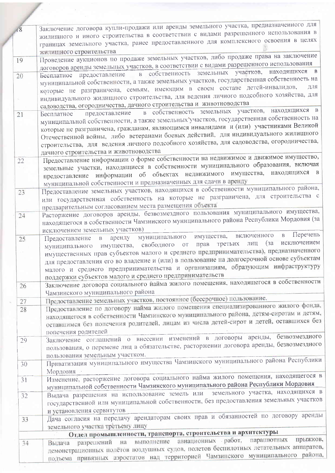| 18       | Заключение договора купли-продажи или аренды земельного участка, предназначенного для<br>жилищного и иного строительства в соответствии с видами разрешенного использования в<br>границах земельного участка, ранее предоставленного для комплексного освоения в целях                                                                                                                                                                           |
|----------|--------------------------------------------------------------------------------------------------------------------------------------------------------------------------------------------------------------------------------------------------------------------------------------------------------------------------------------------------------------------------------------------------------------------------------------------------|
|          | жилищного строительства                                                                                                                                                                                                                                                                                                                                                                                                                          |
| 19       | Проведение аукционов по продаже земельных участков, либо продаже права на заключение<br>договоров аренды земельных участков, в соответствии с видами разрешенного использования                                                                                                                                                                                                                                                                  |
| 20       | $\overline{B}$<br>предоставление в собственность земельных участков, находящихся<br>Бесплатное<br>муниципальной собственности, а также земельных участков, государственная собственность на                                                                                                                                                                                                                                                      |
|          | которые не разграничена, семьям, имеющим в своем составе детей-инвалидов,<br>для<br>индивидуального жилищного строительства, для ведения личного подсобного хозяйства, для                                                                                                                                                                                                                                                                       |
|          | садоводства, огородничества, дачного строительства и животноводства<br>в собственность земельных участков, находящихся в                                                                                                                                                                                                                                                                                                                         |
| 21       | предоставление<br>Бесплатное<br>муниципальной собственности, а также земельных участков, государственная собственность на<br>которые не разграничена, гражданам, являющимся инвалидами и (или) участниками Великой<br>Отечественной войны, либо ветеранами боевых действий, для индивидуального жилищного<br>строительства, для ведения личного подсобного хозяйства, для садоводства, огородничества,<br>дачного строительства и животноводства |
|          | Предоставление информации о форме собственности на недвижимое и движимое имущество,                                                                                                                                                                                                                                                                                                                                                              |
| 22       | земельные участки, находящиеся в собственности муниципального образования, включая<br>предоставление информации об объектах недвижимого имущества, находящихся в<br>муниципальной собственности и предназначенных для сдачи в аренду                                                                                                                                                                                                             |
| 23       | Предоставление земельных участков, находящихся в собственности муниципального района,<br>или государственная собственность на которые не разграничена, для строительства с<br>предварительным согласованием места размещения объекта                                                                                                                                                                                                             |
| 24       | Расторжение договоров аренды, безвозмездного пользования муниципального имущества,                                                                                                                                                                                                                                                                                                                                                               |
|          | находящегося в собственности Чамзинского муниципального района Республики Мордовия (за<br>исключением земельных участков)                                                                                                                                                                                                                                                                                                                        |
| 25       | Перечень<br>$\, {\bf B}$<br>включенного<br>имущества,<br>муниципального<br>аренду<br>Предоставление<br>$\, {\bf B} \,$<br>исключением                                                                                                                                                                                                                                                                                                            |
|          | лиц (за<br>третьих<br>от прав<br>имущества, свободного<br>муниципального<br>имущественных прав субъектов малого и среднего предпринимательства), предназначенного<br>для предоставления его во владение и (или) в пользование на долгосрочной основе субъектам<br>малого и среднего предпринимательства и организациям, образующим инфраструктуру<br>поддержки субъектов малого и среднего предпринимательств                                    |
| 26       | Заключение договора социального найма жилого помещения, находящегося в собственности<br>Чамзинского муниципального района                                                                                                                                                                                                                                                                                                                        |
|          | Предоставление земельных участков, постоянное (бессрочное) пользование.                                                                                                                                                                                                                                                                                                                                                                          |
| 27<br>28 | Предоставление по договору найма жилого помещения специализированного жилого фонда,<br>находящегося в собственности Чамзинского муниципального района, детям-сиротам и детям,<br>оставшимся без попечения родителей, лицам из числа детей-сирот и детей, оставшихся без<br>попечения родителей                                                                                                                                                   |
| 29       | безвозмездного<br>Заключение соглашений о внесении изменений в договоры аренды,<br>пользования, о перемене лиц в обязательстве, расторжении договора аренды, безвозмездного<br>пользования земельным участком.                                                                                                                                                                                                                                   |
| 30       | Приватизация муниципального имущества Чамзинского муниципального района Республики<br>Мордовия                                                                                                                                                                                                                                                                                                                                                   |
| 31       | Изменение, расторжение договора социального найма жилого помещения, находящегося в<br>муниципальной собственности Чамзинского муниципального района Республики Мордовия                                                                                                                                                                                                                                                                          |
| 32       | земельного участка, находящихся в<br>Выдача разрешения на использование земель или<br>государственной или муниципальной собственности, без предоставления земельных участков<br>и установления сервитутов                                                                                                                                                                                                                                        |
| 33       | Дача согласия на передачу арендаторам своих прав и обязанностей по договору аренды<br>земельного участка третьему лицу                                                                                                                                                                                                                                                                                                                           |
|          | Отдел промышленности, транспорта, строительства и архитектуры                                                                                                                                                                                                                                                                                                                                                                                    |
| 34       | прыжков,<br>выполнение авиационных работ, парашютных<br>разрешений на<br>Выдача<br>демонстрационных полётов воздушных судов, полетов беспилотных летательных аппаратов,<br>польема привязных аэростатов нал территорией Чамзинского муниципального района,                                                                                                                                                                                       |
|          |                                                                                                                                                                                                                                                                                                                                                                                                                                                  |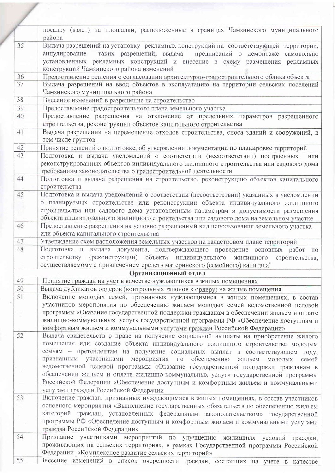|    | посадку (взлет) на площадки, расположенные в границах Чамзинского муниципального                                                           |
|----|--------------------------------------------------------------------------------------------------------------------------------------------|
|    | района                                                                                                                                     |
| 35 | Выдача разрешений на установку рекламных конструкций на соответствующей территории,                                                        |
|    | аннулирование таких разрешений, выдача<br>предписаний о демонтаже<br>самовольно                                                            |
|    | установленных рекламных конструкций и внесение в схему размещения рекламных                                                                |
|    | конструкций Чамзинского района изменений                                                                                                   |
| 36 | Предоставление решения о согласовании архитектурно-градостроительного облика объекта                                                       |
| 37 | Выдача разрешений на ввод объектов в эксплуатацию на территории сельских поселений                                                         |
|    | Чамзинского муниципального района                                                                                                          |
| 38 | Внесение изменений в разрешение на строительство                                                                                           |
| 39 | Предоставление градостроительного плана земельного участка                                                                                 |
| 40 | Предоставление разрешения на отклонение от предельных параметров разрешенного                                                              |
|    | строительства, реконструкции объектов капитального строительства                                                                           |
| 41 | Выдача разрешения на перемещение отходов строительства, сноса зданий и сооружений, в                                                       |
|    | том числе грунтов                                                                                                                          |
| 42 | Принятие решений о подготовке, об утверждении документации по планировке территорий                                                        |
| 43 | Подготовка и выдача уведомлений о соответствии (несоответствии) построенных<br>ИЛИ                                                         |
|    | реконструированных объектов индивидуального жилищного строительства или садового дома                                                      |
|    | требованиям законодательства о градостроительной деятельности                                                                              |
| 44 | Подготовка и выдача разрешения на строительство, реконструкцию объектов капитального                                                       |
|    | строительства                                                                                                                              |
| 45 | Подготовка и выдача уведомлений о соответствии (несоответствии) указанных в уведомлении                                                    |
|    | о планируемых строительстве или реконструкции объекта индивидуального жилищного                                                            |
|    | строительства или садового дома установленным параметрам и допустимости размещения                                                         |
|    | объекта индивидуального жилищного строительства или садового дома на земельном участке                                                     |
| 46 | Предоставление разрешения на условно разрешенный вид использования земельного участка                                                      |
|    | или объекта капитального строительства                                                                                                     |
| 47 |                                                                                                                                            |
| 48 | Утверждение схем расположения земельных участков на кадастровом плане территорий                                                           |
|    | Подготовка и выдача документа, подтверждающего проведение основных работ по                                                                |
|    | (реконструкции) объекта индивидуального<br>строительству<br>ЖИЛИЩНОГО<br>строительства,                                                    |
|    | осуществляемому с привлечением средств материнского (семейного) капитала"                                                                  |
|    | Организационный отдел                                                                                                                      |
| 49 | Принятие граждан на учет в качестве нуждающихся в жилых помещениях                                                                         |
| 50 | Выдача дубликатов ордеров (контрольных талонов к ордеру) на жилые помещения                                                                |
| 51 | Включение молодых семей, признанных нуждающимися в жилых помещениях, в состав                                                              |
|    | участников мероприятия по обеспечению жильем молодых семей ведомственной целевой                                                           |
|    | программы «Оказание государственной поддержки гражданам в обеспечении жильем и оплате                                                      |
|    | жилищно-коммунальных услуг» государственной программы РФ «Обеспечение доступным и                                                          |
|    | комфортным жильем и коммунальными услугами граждан Российской Федерации»                                                                   |
| 52 | Выдача свидетельств о праве на получение социальной выплаты на приобретение жилого                                                         |
|    | помещения или создание объекта индивидуального жилищного строительства молодым                                                             |
|    | семьям - претендентам на получение социальных выплат в соответствующем году,                                                               |
|    | мероприятия по обеспечению<br>признанным участниками<br>жильем молодых<br>семей                                                            |
|    | ведомственной целевой программы «Оказание государственной поддержки гражданам в                                                            |
|    | обеспечении жильем и оплате жилищно-коммунальных услуг» государственной программы                                                          |
|    | Российской Федерации «Обеспечение доступным и комфортным жильем и коммунальными                                                            |
|    | услугами граждан Российской Федерации                                                                                                      |
| 53 | Включение граждан, признанных нуждающимися в жилых помещениях, в состав участников                                                         |
|    | основного мероприятия «Выполнение государственных обязательств по обеспечению жильем                                                       |
|    | категорий граждан, установленных федеральным законодательством» государственной                                                            |
|    |                                                                                                                                            |
|    |                                                                                                                                            |
|    | программы РФ «Обеспечение доступным и комфортным жильем и коммунальными услугами<br>граждан Российской Федерации»                          |
| 54 |                                                                                                                                            |
|    | Признание участниками мероприятий по улучшению жилищных<br>условий граждан,                                                                |
|    | проживающих на сельских территориях, в рамках Государственной программы Российской<br>Федерации «Комплексное развитие сельских территорий» |